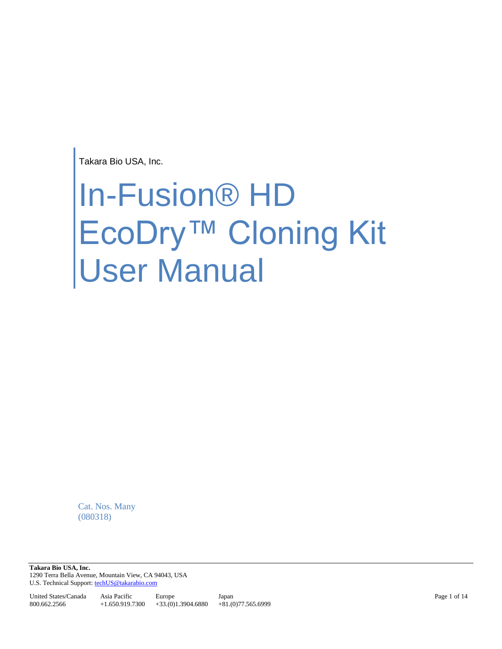Takara Bio USA, Inc.

# In-Fusion® HD EcoDry™ Cloning Kit User Manual

Cat. Nos. Many (080318)

**Takara Bio USA, Inc.**  1290 Terra Bella Avenue, Mountain View, CA 94043, USA U.S. Technical Support[: techUS@takarabio.com](mailto:techUS@takarabio.com)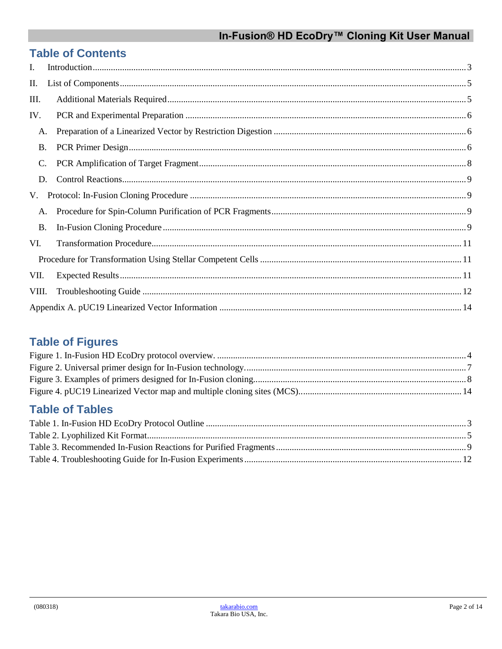## **Table of Contents**

| I.        |  |
|-----------|--|
| П.        |  |
| III.      |  |
| IV.       |  |
| A.        |  |
| <b>B.</b> |  |
| C.        |  |
| D.        |  |
| V.        |  |
| A.        |  |
| <b>B.</b> |  |
| VI.       |  |
|           |  |
| VII.      |  |
| VIII.     |  |
|           |  |

# **Table of Figures**

## **Table of Tables**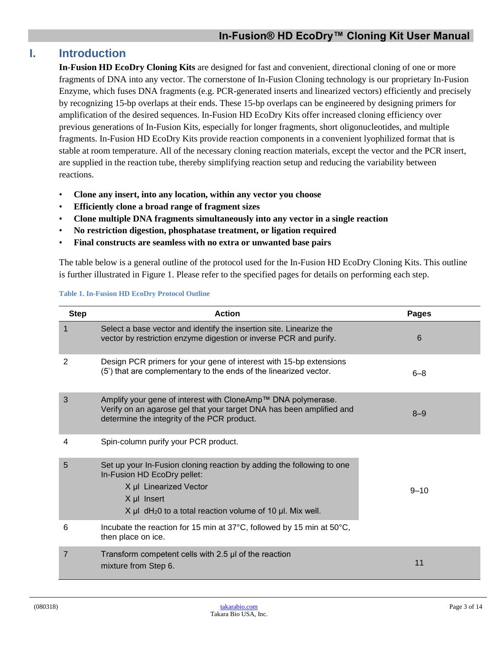#### <span id="page-2-0"></span>**I. Introduction**

**In-Fusion HD EcoDry Cloning Kits** are designed for fast and convenient, directional cloning of one or more fragments of DNA into any vector. The cornerstone of In-Fusion Cloning technology is our proprietary In-Fusion Enzyme, which fuses DNA fragments (e.g. PCR-generated inserts and linearized vectors) efficiently and precisely by recognizing 15-bp overlaps at their ends. These 15-bp overlaps can be engineered by designing primers for amplification of the desired sequences. In-Fusion HD EcoDry Kits offer increased cloning efficiency over previous generations of In-Fusion Kits, especially for longer fragments, short oligonucleotides, and multiple fragments. In-Fusion HD EcoDry Kits provide reaction components in a convenient lyophilized format that is stable at room temperature. All of the necessary cloning reaction materials, except the vector and the PCR insert, are supplied in the reaction tube, thereby simplifying reaction setup and reducing the variability between reactions.

- **Clone any insert, into any location, within any vector you choose**
- **Efficiently clone a broad range of fragment sizes**
- **Clone multiple DNA fragments simultaneously into any vector in a single reaction**
- **No restriction digestion, phosphatase treatment, or ligation required**
- **Final constructs are seamless with no extra or unwanted base pairs**

The table below is a general outline of the protocol used for the In-Fusion HD EcoDry Cloning Kits. This outline is further illustrated in Figure 1. Please refer to the specified pages for details on performing each step.

<span id="page-2-1"></span>

| <b>Step</b>    | <b>Action</b>                                                                                                                                                                                                                     | <b>Pages</b> |
|----------------|-----------------------------------------------------------------------------------------------------------------------------------------------------------------------------------------------------------------------------------|--------------|
| $\mathbf{1}$   | Select a base vector and identify the insertion site. Linearize the<br>vector by restriction enzyme digestion or inverse PCR and purify.                                                                                          | 6            |
| 2              | Design PCR primers for your gene of interest with 15-bp extensions<br>(5') that are complementary to the ends of the linearized vector.                                                                                           | $6 - 8$      |
| 3              | Amplify your gene of interest with CloneAmp™ DNA polymerase.<br>Verify on an agarose gel that your target DNA has been amplified and<br>determine the integrity of the PCR product.                                               | $8 - 9$      |
| 4              | Spin-column purify your PCR product.                                                                                                                                                                                              |              |
| 5              | Set up your In-Fusion cloning reaction by adding the following to one<br>In-Fusion HD EcoDry pellet:<br>X µl Linearized Vector<br>X µl Insert<br>$X \mu I$ dH <sub>2</sub> 0 to a total reaction volume of 10 $\mu I$ . Mix well. | $9 - 10$     |
| 6              | Incubate the reaction for 15 min at 37°C, followed by 15 min at 50°C,<br>then place on ice.                                                                                                                                       |              |
| $\overline{7}$ | Transform competent cells with 2.5 µl of the reaction<br>mixture from Step 6.                                                                                                                                                     | 11           |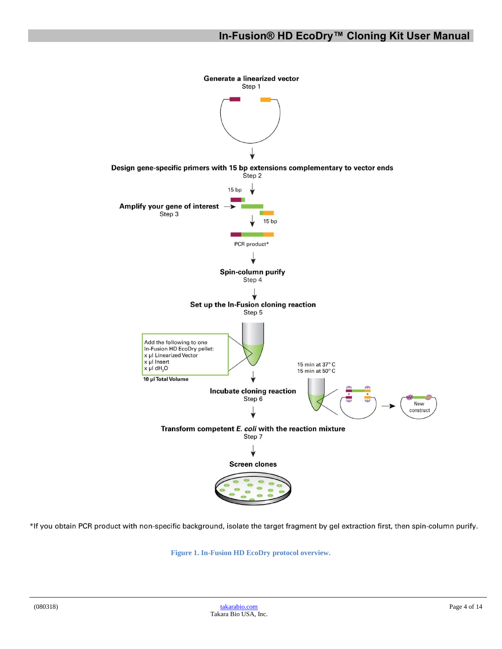

<span id="page-3-0"></span>\*If you obtain PCR product with non-specific background, isolate the target fragment by gel extraction first, then spin-column purify.

**Figure 1. In-Fusion HD EcoDry protocol overview.**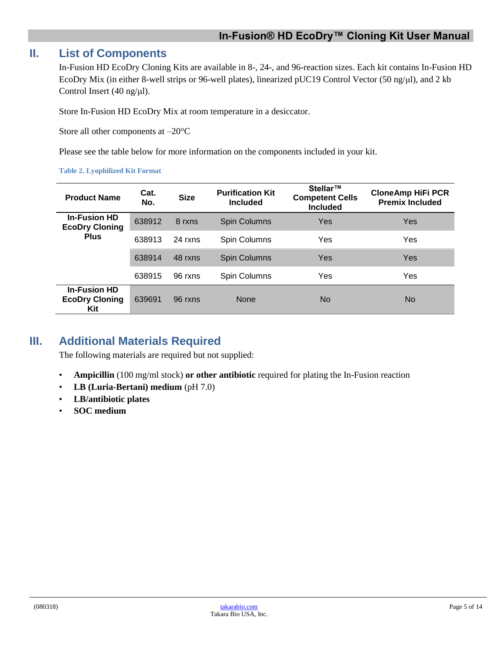#### <span id="page-4-0"></span>**II. List of Components**

In-Fusion HD EcoDry Cloning Kits are available in 8-, 24-, and 96-reaction sizes. Each kit contains In-Fusion HD EcoDry Mix (in either 8-well strips or 96-well plates), linearized pUC19 Control Vector (50 ng/μl), and 2 kb Control Insert (40 ng/μl).

Store In-Fusion HD EcoDry Mix at room temperature in a desiccator.

Store all other components at –20°C

Please see the table below for more information on the components included in your kit.

#### <span id="page-4-2"></span>**Table 2. Lyophilized Kit Format**

| <b>Product Name</b>                                 | Cat.<br>No. | <b>Size</b> | <b>Purification Kit</b><br><b>Included</b> | Stellar™<br><b>Competent Cells</b><br><b>Included</b> | <b>CloneAmp HiFi PCR</b><br><b>Premix Included</b> |
|-----------------------------------------------------|-------------|-------------|--------------------------------------------|-------------------------------------------------------|----------------------------------------------------|
| <b>In-Fusion HD</b><br><b>EcoDry Cloning</b>        | 638912      | 8 rxns      | Spin Columns                               | Yes                                                   | <b>Yes</b>                                         |
| <b>Plus</b>                                         | 638913      | 24 rxns     | Spin Columns                               | Yes                                                   | Yes                                                |
|                                                     | 638914      | 48 rxns     | <b>Spin Columns</b>                        | Yes                                                   | Yes                                                |
|                                                     | 638915      | 96 rxns     | Spin Columns                               | Yes                                                   | Yes                                                |
| <b>In-Fusion HD</b><br><b>EcoDry Cloning</b><br>Kit | 639691      | 96 rxns     | <b>None</b>                                | No                                                    | No.                                                |

### <span id="page-4-1"></span>**III. Additional Materials Required**

The following materials are required but not supplied:

- **Ampicillin** (100 mg/ml stock) **or other antibiotic** required for plating the In-Fusion reaction
- **LB (Luria-Bertani) medium** (pH 7.0)
- **LB/antibiotic plates**
- **SOC medium**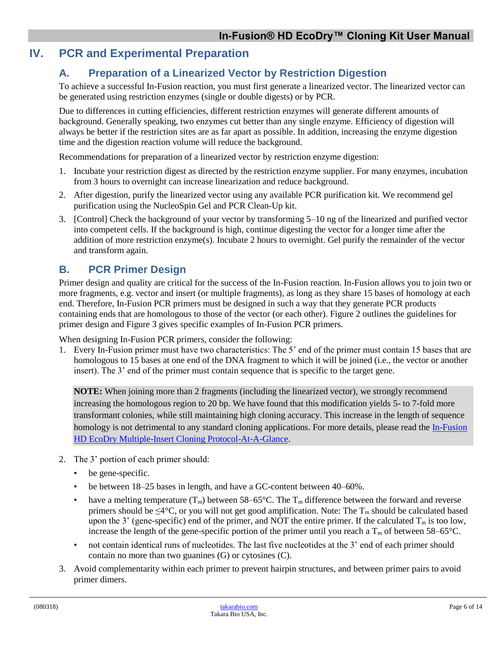#### <span id="page-5-1"></span><span id="page-5-0"></span>**IV. PCR and Experimental Preparation**

#### **A. Preparation of a Linearized Vector by Restriction Digestion**

To achieve a successful In-Fusion reaction, you must first generate a linearized vector. The linearized vector can be generated using restriction enzymes (single or double digests) or by PCR.

Due to differences in cutting efficiencies, different restriction enzymes will generate different amounts of background. Generally speaking, two enzymes cut better than any single enzyme. Efficiency of digestion will always be better if the restriction sites are as far apart as possible. In addition, increasing the enzyme digestion time and the digestion reaction volume will reduce the background.

Recommendations for preparation of a linearized vector by restriction enzyme digestion:

- 1. Incubate your restriction digest as directed by the restriction enzyme supplier. For many enzymes, incubation from 3 hours to overnight can increase linearization and reduce background.
- 2. After digestion, purify the linearized vector using any available PCR purification kit. We recommend gel purification using the NucleoSpin Gel and PCR Clean-Up kit.
- 3. [Control] Check the background of your vector by transforming 5–10 ng of the linearized and purified vector into competent cells. If the background is high, continue digesting the vector for a longer time after the addition of more restriction enzyme(s). Incubate 2 hours to overnight. Gel purify the remainder of the vector and transform again.

#### <span id="page-5-2"></span>**B. PCR Primer Design**

Primer design and quality are critical for the success of the In-Fusion reaction. In-Fusion allows you to join two or more fragments, e.g. vector and insert (or multiple fragments), as long as they share 15 bases of homology at each end. Therefore, In-Fusion PCR primers must be designed in such a way that they generate PCR products containing ends that are homologous to those of the vector (or each other). Figure 2 outlines the guidelines for primer design and Figure 3 gives specific examples of In-Fusion PCR primers.

When designing In-Fusion PCR primers, consider the following:

1. Every In-Fusion primer must have two characteristics: The 5' end of the primer must contain 15 bases that are homologous to 15 bases at one end of the DNA fragment to which it will be joined (i.e., the vector or another insert). The 3' end of the primer must contain sequence that is specific to the target gene.

**NOTE:** When joining more than 2 fragments (including the linearized vector), we strongly recommend increasing the homologous region to 20 bp. We have found that this modification yields 5- to 7-fold more transformant colonies, while still maintaining high cloning accuracy. This increase in the length of sequence homology is not detrimental to any standard cloning applications. For more details, please read the In-Fusion [HD EcoDry Multiple-Insert Cloning Protocol-At-A-Glance.](http://www.takarabio.com/resourcedocument/x32739)

- 2. The 3' portion of each primer should:
	- be gene-specific.
	- be between 18–25 bases in length, and have a GC-content between 40–60%.
	- have a melting temperature  $(T_m)$  between 58–65°C. The  $T_m$  difference between the forward and reverse primers should be  $\leq 4^{\circ}C$ , or you will not get good amplification. Note: The T<sub>m</sub> should be calculated based upon the 3' (gene-specific) end of the primer, and NOT the entire primer. If the calculated  $T_m$  is too low, increase the length of the gene-specific portion of the primer until you reach a  $T_m$  of between 58–65°C.
	- not contain identical runs of nucleotides. The last five nucleotides at the 3' end of each primer should contain no more than two guanines (G) or cytosines (C).
- 3. Avoid complementarity within each primer to prevent hairpin structures, and between primer pairs to avoid primer dimers.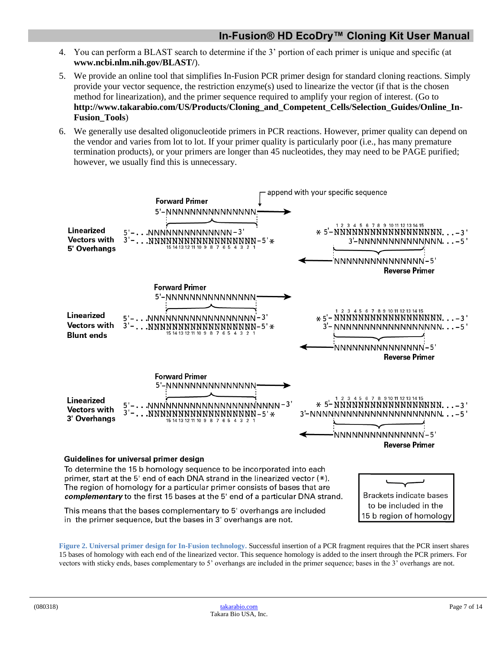- 4. You can perform a BLAST search to determine if the 3' portion of each primer is unique and specific (at **www.ncbi.nlm.nih.gov/BLAST/**).
- 5. We provide an online tool that simplifies In-Fusion PCR primer design for standard cloning reactions. Simply provide your vector sequence, the restriction enzyme(s) used to linearize the vector (if that is the chosen method for linearization), and the primer sequence required to amplify your region of interest. (Go to **http://www.takarabio.com/US/Products/Cloning\_and\_Competent\_Cells/Selection\_Guides/Online\_In-Fusion\_Tools**)
- 6. We generally use desalted oligonucleotide primers in PCR reactions. However, primer quality can depend on the vendor and varies from lot to lot. If your primer quality is particularly poor (i.e., has many premature termination products), or your primers are longer than 45 nucleotides, they may need to be PAGE purified; however, we usually find this is unnecessary.



To determine the 15 b homology sequence to be incorporated into each primer, start at the 5' end of each DNA strand in the linearized vector  $(*)$ . The region of homology for a particular primer consists of bases that are complementary to the first 15 bases at the 5' end of a particular DNA strand.

**Brackets indicate bases** to be included in the 15 b region of homology

This means that the bases complementary to 5' overhangs are included in the primer sequence, but the bases in 3' overhangs are not.

<span id="page-6-0"></span>**Figure 2. Universal primer design for In-Fusion technology.** Successful insertion of a PCR fragment requires that the PCR insert shares 15 bases of homology with each end of the linearized vector. This sequence homology is added to the insert through the PCR primers. For vectors with sticky ends, bases complementary to 5' overhangs are included in the primer sequence; bases in the 3' overhangs are not.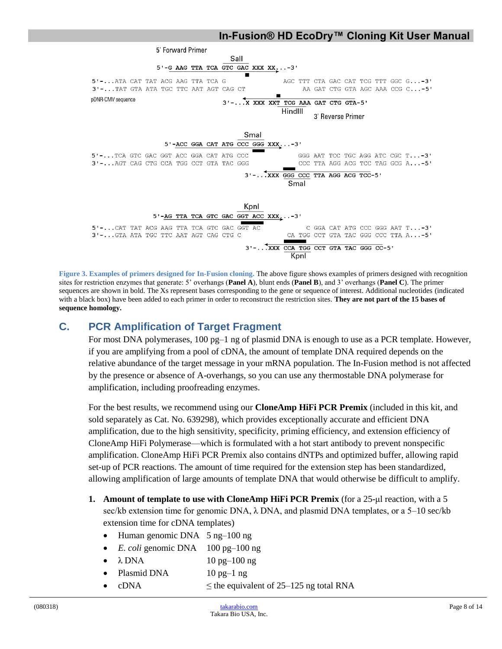

<span id="page-7-1"></span>**Figure 3. Examples of primers designed for In-Fusion cloning.** The above figure shows examples of primers designed with recognition sites for restriction enzymes that generate: 5' overhangs (**Panel A**), blunt ends (**Panel B**), and 3' overhangs (**Panel C**). The primer sequences are shown in bold. The Xs represent bases corresponding to the gene or sequence of interest. Additional nucleotides (indicated with a black box) have been added to each primer in order to reconstruct the restriction sites. **They are not part of the 15 bases of sequence homology.**

#### <span id="page-7-0"></span>**C. PCR Amplification of Target Fragment**

For most DNA polymerases, 100 pg–1 ng of plasmid DNA is enough to use as a PCR template. However, if you are amplifying from a pool of cDNA, the amount of template DNA required depends on the relative abundance of the target message in your mRNA population. The In-Fusion method is not affected by the presence or absence of A-overhangs, so you can use any thermostable DNA polymerase for amplification, including proofreading enzymes.

For the best results, we recommend using our **CloneAmp HiFi PCR Premix** (included in this kit, and sold separately as Cat. No. 639298), which provides exceptionally accurate and efficient DNA amplification, due to the high sensitivity, specificity, priming efficiency, and extension efficiency of CloneAmp HiFi Polymerase—which is formulated with a hot start antibody to prevent nonspecific amplification. CloneAmp HiFi PCR Premix also contains dNTPs and optimized buffer, allowing rapid set-up of PCR reactions. The amount of time required for the extension step has been standardized, allowing amplification of large amounts of template DNA that would otherwise be difficult to amplify.

- **1. Amount of template to use with CloneAmp HiFi PCR Premix** (for a 25-μl reaction, with a 5 sec/kb extension time for genomic DNA,  $\lambda$  DNA, and plasmid DNA templates, or a 5–10 sec/kb extension time for cDNA templates)
	- Human genomic DNA 5 ng-100 ng
	- *E. coli* genomic DNA 100 pg–100 ng
	- $\lambda$  DNA  $10$  pg–100 ng
	- Plasmid DNA 10 pg-1 ng
	- cDNA  $\leq$  the equivalent of 25–125 ng total RNA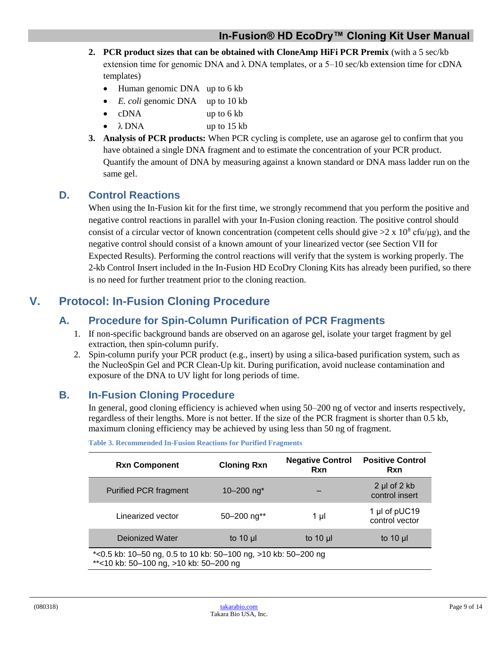- **2. PCR product sizes that can be obtained with CloneAmp HiFi PCR Premix** (with a 5 sec/kb extension time for genomic DNA and  $\lambda$  DNA templates, or a 5–10 sec/kb extension time for cDNA templates)
	- Human genomic DNA up to 6 kb
	- *E. coli* genomic DNA up to 10 kb
	- cDNA up to 6 kb
	- $\lambda$  DNA up to 15 kb
- **3. Analysis of PCR products:** When PCR cycling is complete, use an agarose gel to confirm that you have obtained a single DNA fragment and to estimate the concentration of your PCR product. Quantify the amount of DNA by measuring against a known standard or DNA mass ladder run on the same gel.

#### <span id="page-8-0"></span>**D. Control Reactions**

When using the In-Fusion kit for the first time, we strongly recommend that you perform the positive and negative control reactions in parallel with your In-Fusion cloning reaction. The positive control should consist of a circular vector of known concentration (competent cells should give  $>2 \times 10^8$  cfu/μg), and the negative control should consist of a known amount of your linearized vector (see Section VII for Expected Results). Performing the control reactions will verify that the system is working properly. The 2-kb Control Insert included in the In-Fusion HD EcoDry Cloning Kits has already been purified, so there is no need for further treatment prior to the cloning reaction.

## <span id="page-8-2"></span><span id="page-8-1"></span>**V. Protocol: In-Fusion Cloning Procedure**

#### **A. Procedure for Spin-Column Purification of PCR Fragments**

- 1. If non-specific background bands are observed on an agarose gel, isolate your target fragment by gel extraction, then spin-column purify.
- 2. Spin-column purify your PCR product (e.g., insert) by using a silica-based purification system, such as the NucleoSpin Gel and PCR Clean-Up kit. During purification, avoid nuclease contamination and exposure of the DNA to UV light for long periods of time.

#### <span id="page-8-4"></span><span id="page-8-3"></span>**B. In-Fusion Cloning Procedure**

In general, good cloning efficiency is achieved when using 50–200 ng of vector and inserts respectively, regardless of their lengths. More is not better. If the size of the PCR fragment is shorter than 0.5 kb, maximum cloning efficiency may be achieved by using less than 50 ng of fragment.

| <b>Rxn Component</b>                                                                                     | <b>Cloning Rxn</b>        | <b>Negative Control</b><br>Rxn | <b>Positive Control</b><br>Rxn          |
|----------------------------------------------------------------------------------------------------------|---------------------------|--------------------------------|-----------------------------------------|
| <b>Purified PCR fragment</b>                                                                             | 10 $-200$ ng <sup>*</sup> |                                | $2 \mu$ of $2 \kappa$<br>control insert |
| Linearized vector                                                                                        | $50 - 200$ ng**           | 1 µl                           | 1 µl of pUC19<br>control vector         |
| Dejonized Water                                                                                          | to 10 $\mu$               | to $10 \mu$                    | to 10 $\mu$                             |
| *<0.5 kb: 10-50 ng, 0.5 to 10 kb: 50-100 ng, >10 kb: 50-200 ng<br>**<10 kb: 50-100 ng, >10 kb: 50-200 ng |                           |                                |                                         |

**Table 3. Recommended In-Fusion Reactions for Purified Fragments**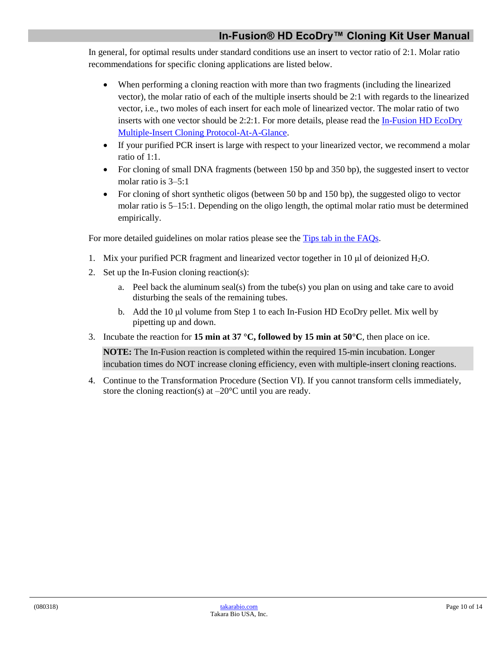In general, for optimal results under standard conditions use an insert to vector ratio of 2:1. Molar ratio recommendations for specific cloning applications are listed below.

- When performing a cloning reaction with more than two fragments (including the linearized vector), the molar ratio of each of the multiple inserts should be 2:1 with regards to the linearized vector, i.e., two moles of each insert for each mole of linearized vector. The molar ratio of two inserts with one vector should be 2:2:1. For more details, please read the [In-Fusion HD EcoDry](http://www.takarabio.com/resourcedocument/x32739)  [Multiple-Insert Cloning Protocol-At-A-Glance.](http://www.takarabio.com/resourcedocument/x32739)
- If your purified PCR insert is large with respect to your linearized vector, we recommend a molar ratio of 1:1.
- For cloning of small DNA fragments (between 150 bp and 350 bp), the suggested insert to vector molar ratio is 3–5:1
- For cloning of short synthetic oligos (between 50 bp and 150 bp), the suggested oligo to vector molar ratio is 5–15:1. Depending on the oligo length, the optimal molar ratio must be determined empirically.

For more detailed guidelines on molar ratios please see the [Tips tab in the FAQs.](https://www.takarabio.com/learning-centers/cloning/in%E2%80%90fusion-cloning-faqs)

- 1. Mix your purified PCR fragment and linearized vector together in 10  $\mu$  of deionized H<sub>2</sub>O.
- 2. Set up the In-Fusion cloning reaction(s):
	- a. Peel back the aluminum seal(s) from the tube(s) you plan on using and take care to avoid disturbing the seals of the remaining tubes.
	- b. Add the 10 μl volume from Step 1 to each In-Fusion HD EcoDry pellet. Mix well by pipetting up and down.
- 3. Incubate the reaction for **15 min at 37** °C, **followed by 15 min at 50** °C, then place on ice.

**NOTE:** The In-Fusion reaction is completed within the required 15-min incubation. Longer incubation times do NOT increase cloning efficiency, even with multiple-insert cloning reactions.

4. Continue to the Transformation Procedure (Section VI). If you cannot transform cells immediately, store the cloning reaction(s) at  $-20^{\circ}$ C until you are ready.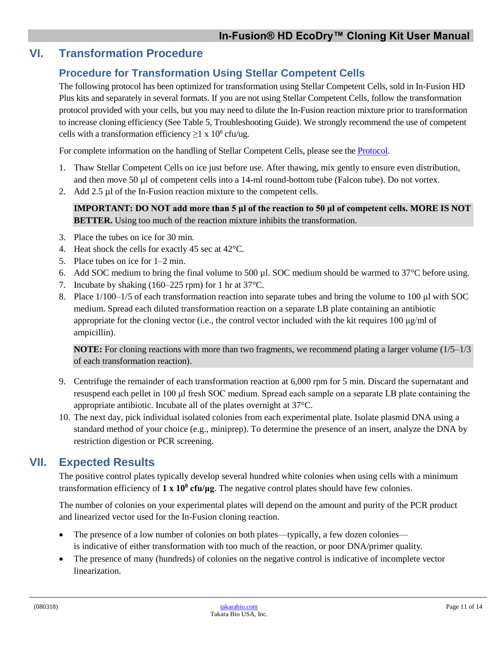#### <span id="page-10-1"></span><span id="page-10-0"></span>**VI. Transformation Procedure**

#### **Procedure for Transformation Using Stellar Competent Cells**

The following protocol has been optimized for transformation using Stellar Competent Cells, sold in In-Fusion HD Plus kits and separately in several formats. If you are not using Stellar Competent Cells, follow the transformation protocol provided with your cells, but you may need to dilute the In-Fusion reaction mixture prior to transformation to increase cloning efficiency (See Table 5, Troubleshooting Guide). We strongly recommend the use of competent cells with a transformation efficiency  $\geq 1 \times 10^8$  cfu/ug.

For complete information on the handling of Stellar Competent Cells, please see the [Protocol.](http://www.takarabio.com/resourcedocument/x33081)

- 1. Thaw Stellar Competent Cells on ice just before use. After thawing, mix gently to ensure even distribution, and then move 50 µl of competent cells into a 14-ml round-bottom tube (Falcon tube). Do not vortex.
- 2. Add 2.5 µl of the In-Fusion reaction mixture to the competent cells.

**IMPORTANT: DO NOT add more than 5 μl of the reaction to 50 μl of competent cells. MORE IS NOT BETTER.** Using too much of the reaction mixture inhibits the transformation.

- 3. Place the tubes on ice for 30 min.
- 4. Heat shock the cells for exactly 45 sec at 42°C.
- 5. Place tubes on ice for 1–2 min.
- 6. Add SOC medium to bring the final volume to 500 µl. SOC medium should be warmed to 37°C before using.
- 7. Incubate by shaking (160–225 rpm) for 1 hr at 37°C.
- 8. Place 1/100–1/5 of each transformation reaction into separate tubes and bring the volume to 100 μl with SOC medium. Spread each diluted transformation reaction on a separate LB plate containing an antibiotic appropriate for the cloning vector (i.e., the control vector included with the kit requires 100 μg/ml of ampicillin).

**NOTE:** For cloning reactions with more than two fragments, we recommend plating a larger volume (1/5–1/3) of each transformation reaction).

- 9. Centrifuge the remainder of each transformation reaction at 6,000 rpm for 5 min. Discard the supernatant and resuspend each pellet in 100 μl fresh SOC medium. Spread each sample on a separate LB plate containing the appropriate antibiotic. Incubate all of the plates overnight at 37°C.
- 10. The next day, pick individual isolated colonies from each experimental plate. Isolate plasmid DNA using a standard method of your choice (e.g., miniprep). To determine the presence of an insert, analyze the DNA by restriction digestion or PCR screening.

#### <span id="page-10-2"></span>**VII. Expected Results**

The positive control plates typically develop several hundred white colonies when using cells with a minimum transformation efficiency of **1 x 10<sup>8</sup> cfu/μg**. The negative control plates should have few colonies.

The number of colonies on your experimental plates will depend on the amount and purity of the PCR product and linearized vector used for the In-Fusion cloning reaction.

- The presence of a low number of colonies on both plates—typically, a few dozen colonies is indicative of either transformation with too much of the reaction, or poor DNA/primer quality.
- The presence of many (hundreds) of colonies on the negative control is indicative of incomplete vector linearization.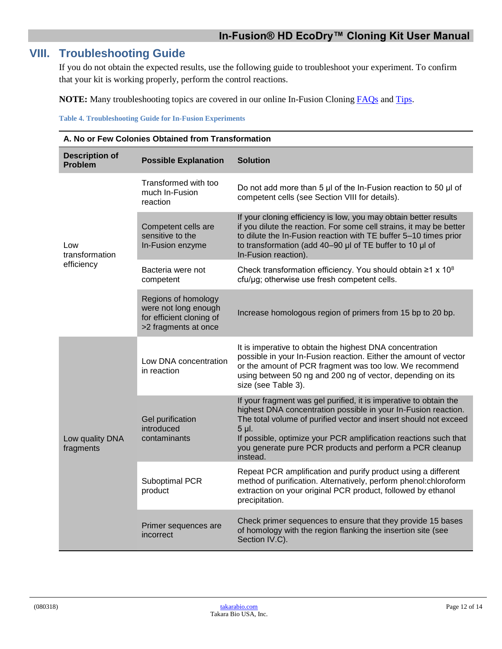### <span id="page-11-0"></span>**VIII. Troubleshooting Guide**

If you do not obtain the expected results, use the following guide to troubleshoot your experiment. To confirm that your kit is working properly, perform the control reactions.

**NOTE:** Many troubleshooting topics are covered in our online In-Fusion Cloning [FAQs](https://www.takarabio.com/learning-centers/cloning/in%E2%80%90fusion-cloning-faqs) and [Tips.](https://www.takarabio.com/learning-centers/cloning/in%E2%80%90fusion-cloning-tips)

<span id="page-11-1"></span>**Table 4. Troubleshooting Guide for In-Fusion Experiments**

| A. No or Few Colonies Obtained from Transformation |                                                                                                 |                                                                                                                                                                                                                                                                                                                                                              |  |
|----------------------------------------------------|-------------------------------------------------------------------------------------------------|--------------------------------------------------------------------------------------------------------------------------------------------------------------------------------------------------------------------------------------------------------------------------------------------------------------------------------------------------------------|--|
| <b>Description of</b><br>Problem                   | <b>Possible Explanation</b>                                                                     | <b>Solution</b>                                                                                                                                                                                                                                                                                                                                              |  |
|                                                    | Transformed with too<br>much In-Fusion<br>reaction                                              | Do not add more than 5 µl of the In-Fusion reaction to 50 µl of<br>competent cells (see Section VIII for details).                                                                                                                                                                                                                                           |  |
| Low<br>transformation                              | Competent cells are<br>sensitive to the<br>In-Fusion enzyme                                     | If your cloning efficiency is low, you may obtain better results<br>if you dilute the reaction. For some cell strains, it may be better<br>to dilute the In-Fusion reaction with TE buffer 5-10 times prior<br>to transformation (add 40-90 µl of TE buffer to 10 µl of<br>In-Fusion reaction).                                                              |  |
| efficiency                                         | Bacteria were not<br>competent                                                                  | Check transformation efficiency. You should obtain $\geq 1 \times 10^8$<br>cfu/µg; otherwise use fresh competent cells.                                                                                                                                                                                                                                      |  |
|                                                    | Regions of homology<br>were not long enough<br>for efficient cloning of<br>>2 fragments at once | Increase homologous region of primers from 15 bp to 20 bp.                                                                                                                                                                                                                                                                                                   |  |
|                                                    | Low DNA concentration<br>in reaction                                                            | It is imperative to obtain the highest DNA concentration<br>possible in your In-Fusion reaction. Either the amount of vector<br>or the amount of PCR fragment was too low. We recommend<br>using between 50 ng and 200 ng of vector, depending on its<br>size (see Table 3).                                                                                 |  |
| Low quality DNA<br>fragments                       | Gel purification<br>introduced<br>contaminants                                                  | If your fragment was gel purified, it is imperative to obtain the<br>highest DNA concentration possible in your In-Fusion reaction.<br>The total volume of purified vector and insert should not exceed<br>5 µl.<br>If possible, optimize your PCR amplification reactions such that<br>you generate pure PCR products and perform a PCR cleanup<br>instead. |  |
|                                                    | Suboptimal PCR<br>product                                                                       | Repeat PCR amplification and purify product using a different<br>method of purification. Alternatively, perform phenol:chloroform<br>extraction on your original PCR product, followed by ethanol<br>precipitation.                                                                                                                                          |  |
|                                                    | Primer sequences are<br>incorrect                                                               | Check primer sequences to ensure that they provide 15 bases<br>of homology with the region flanking the insertion site (see<br>Section IV.C).                                                                                                                                                                                                                |  |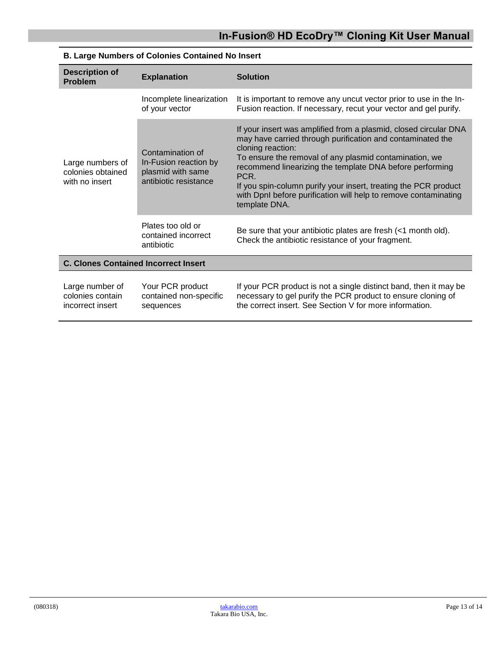| <b>Description of</b><br><b>Problem</b>                 | <b>Explanation</b>                                                                      | <b>Solution</b>                                                                                                                                                                                                                                                                                                                                                                                                                          |  |
|---------------------------------------------------------|-----------------------------------------------------------------------------------------|------------------------------------------------------------------------------------------------------------------------------------------------------------------------------------------------------------------------------------------------------------------------------------------------------------------------------------------------------------------------------------------------------------------------------------------|--|
|                                                         | Incomplete linearization<br>of your vector                                              | It is important to remove any uncut vector prior to use in the In-<br>Fusion reaction. If necessary, recut your vector and gel purify.                                                                                                                                                                                                                                                                                                   |  |
| Large numbers of<br>colonies obtained<br>with no insert | Contamination of<br>In-Fusion reaction by<br>plasmid with same<br>antibiotic resistance | If your insert was amplified from a plasmid, closed circular DNA<br>may have carried through purification and contaminated the<br>cloning reaction:<br>To ensure the removal of any plasmid contamination, we<br>recommend linearizing the template DNA before performing<br>PCR.<br>If you spin-column purify your insert, treating the PCR product<br>with DpnI before purification will help to remove contaminating<br>template DNA. |  |
|                                                         | Plates too old or<br>contained incorrect<br>antibiotic                                  | Be sure that your antibiotic plates are fresh (<1 month old).<br>Check the antibiotic resistance of your fragment.                                                                                                                                                                                                                                                                                                                       |  |
| <b>C. Clones Contained Incorrect Insert</b>             |                                                                                         |                                                                                                                                                                                                                                                                                                                                                                                                                                          |  |
| Large number of<br>colonies contain<br>incorrect insert | Your PCR product<br>contained non-specific<br>sequences                                 | If your PCR product is not a single distinct band, then it may be<br>necessary to gel purify the PCR product to ensure cloning of<br>the correct insert. See Section V for more information.                                                                                                                                                                                                                                             |  |

#### **B. Large Numbers of Colonies Contained No Insert**